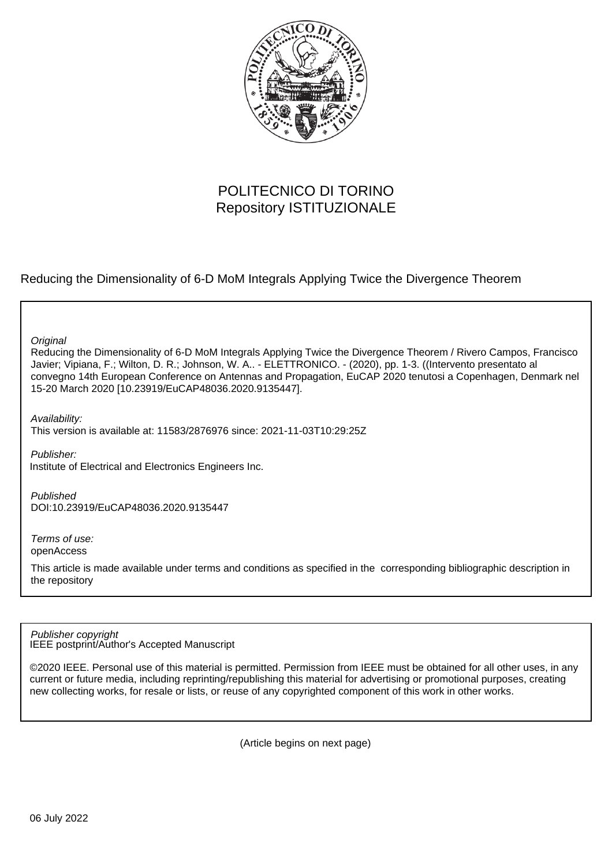

## POLITECNICO DI TORINO Repository ISTITUZIONALE

Reducing the Dimensionality of 6-D MoM Integrals Applying Twice the Divergence Theorem

**Original** 

Reducing the Dimensionality of 6-D MoM Integrals Applying Twice the Divergence Theorem / Rivero Campos, Francisco Javier; Vipiana, F.; Wilton, D. R.; Johnson, W. A.. - ELETTRONICO. - (2020), pp. 1-3. ((Intervento presentato al convegno 14th European Conference on Antennas and Propagation, EuCAP 2020 tenutosi a Copenhagen, Denmark nel 15-20 March 2020 [10.23919/EuCAP48036.2020.9135447].

Availability:

This version is available at: 11583/2876976 since: 2021-11-03T10:29:25Z

Publisher:

Institute of Electrical and Electronics Engineers Inc.

Published DOI:10.23919/EuCAP48036.2020.9135447

Terms of use: openAccess

This article is made available under terms and conditions as specified in the corresponding bibliographic description in the repository

IEEE postprint/Author's Accepted Manuscript Publisher copyright

©2020 IEEE. Personal use of this material is permitted. Permission from IEEE must be obtained for all other uses, in any current or future media, including reprinting/republishing this material for advertising or promotional purposes, creating new collecting works, for resale or lists, or reuse of any copyrighted component of this work in other works.

(Article begins on next page)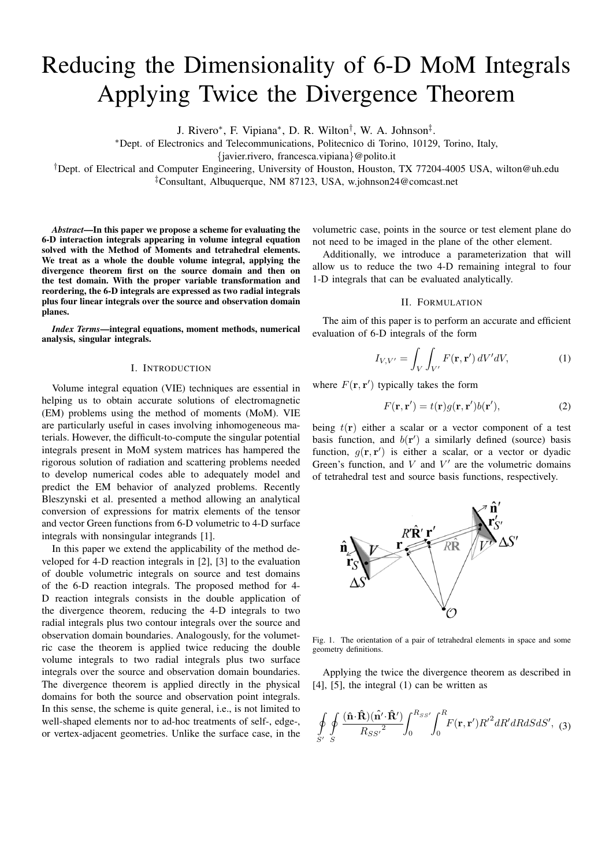# Reducing the Dimensionality of 6-D MoM Integrals Applying Twice the Divergence Theorem

J. Rivero<sup>∗</sup> , F. Vipiana<sup>∗</sup> , D. R. Wilton† , W. A. Johnson‡ .

<sup>∗</sup>Dept. of Electronics and Telecommunications, Politecnico di Torino, 10129, Torino, Italy,

{javier.rivero, francesca.vipiana}@polito.it

†Dept. of Electrical and Computer Engineering, University of Houston, Houston, TX 77204-4005 USA, wilton@uh.edu ‡Consultant, Albuquerque, NM 87123, USA, w.johnson24@comcast.net

*Abstract*—In this paper we propose a scheme for evaluating the 6-D interaction integrals appearing in volume integral equation solved with the Method of Moments and tetrahedral elements. We treat as a whole the double volume integral, applying the divergence theorem first on the source domain and then on the test domain. With the proper variable transformation and reordering, the 6-D integrals are expressed as two radial integrals plus four linear integrals over the source and observation domain planes.

*Index Terms*—integral equations, moment methods, numerical analysis, singular integrals.

### I. INTRODUCTION

Volume integral equation (VIE) techniques are essential in helping us to obtain accurate solutions of electromagnetic (EM) problems using the method of moments (MoM). VIE are particularly useful in cases involving inhomogeneous materials. However, the difficult-to-compute the singular potential integrals present in MoM system matrices has hampered the rigorous solution of radiation and scattering problems needed to develop numerical codes able to adequately model and predict the EM behavior of analyzed problems. Recently Bleszynski et al. presented a method allowing an analytical conversion of expressions for matrix elements of the tensor and vector Green functions from 6-D volumetric to 4-D surface integrals with nonsingular integrands [1].

In this paper we extend the applicability of the method developed for 4-D reaction integrals in [2], [3] to the evaluation of double volumetric integrals on source and test domains of the 6-D reaction integrals. The proposed method for 4- D reaction integrals consists in the double application of the divergence theorem, reducing the 4-D integrals to two radial integrals plus two contour integrals over the source and observation domain boundaries. Analogously, for the volumetric case the theorem is applied twice reducing the double volume integrals to two radial integrals plus two surface integrals over the source and observation domain boundaries. The divergence theorem is applied directly in the physical domains for both the source and observation point integrals. In this sense, the scheme is quite general, i.e., is not limited to well-shaped elements nor to ad-hoc treatments of self-, edge-, or vertex-adjacent geometries. Unlike the surface case, in the

volumetric case, points in the source or test element plane do not need to be imaged in the plane of the other element.

Additionally, we introduce a parameterization that will allow us to reduce the two 4-D remaining integral to four 1-D integrals that can be evaluated analytically.

#### II. FORMULATION

The aim of this paper is to perform an accurate and efficient evaluation of 6-D integrals of the form

$$
I_{V,V'} = \int_{V} \int_{V'} F(\mathbf{r}, \mathbf{r}') dV' dV,
$$
 (1)

where  $F(\mathbf{r}, \mathbf{r}')$  typically takes the form

$$
F(\mathbf{r}, \mathbf{r}') = t(\mathbf{r})g(\mathbf{r}, \mathbf{r}')b(\mathbf{r}'),\tag{2}
$$

being  $t(\mathbf{r})$  either a scalar or a vector component of a test basis function, and  $b(r')$  a similarly defined (source) basis function,  $g(\mathbf{r}, \mathbf{r}')$  is either a scalar, or a vector or dyadic Green's function, and  $V$  and  $V'$  are the volumetric domains of tetrahedral test and source basis functions, respectively.



Fig. 1. The orientation of a pair of tetrahedral elements in space and some geometry definitions.

Applying the twice the divergence theorem as described in [4], [5], the integral (1) can be written as

$$
\oint_{S'} \oint_{S} \frac{(\hat{\mathbf{n}} \cdot \hat{\mathbf{R}})(\hat{\mathbf{n'}} \cdot \hat{\mathbf{R'}})}{R_{SS'}^{2}} \int_{0}^{R_{SS'}} \int_{0}^{R} F(\mathbf{r}, \mathbf{r'}) R'^{2} dR' dR dS dS', \quad (3)
$$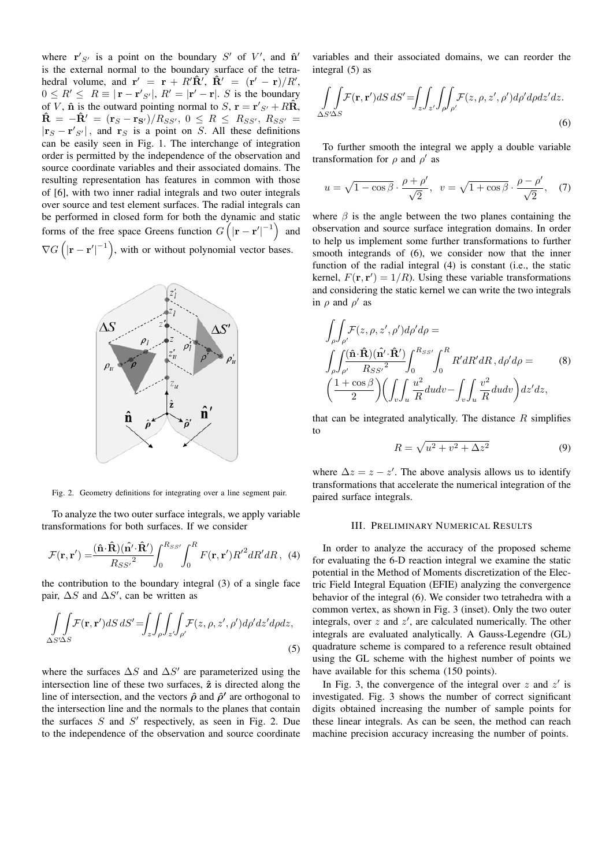where  $\mathbf{r}'_{S'}$  is a point on the boundary  $S'$  of  $V'$ , and  $\hat{\mathbf{n}}'$ is the external normal to the boundary surface of the tetrahedral volume, and  $\mathbf{r}' = \mathbf{r} + R'\hat{\mathbf{R}}'$ ,  $\hat{\mathbf{R}}' = (\mathbf{r}' - \mathbf{r})/R'$ ,  $0 \leq R' \leq R \equiv |\mathbf{r} - \mathbf{r}'_{S'}|, R' = |\mathbf{r}' - \mathbf{r}|$ . S is the boundary of V,  $\hat{\mathbf{n}}$  is the outward pointing normal to S,  $\mathbf{r} = \mathbf{r}'_{S'} + R\hat{\mathbf{R}}$ ,  $\hat{\mathbf{R}} = -\hat{\mathbf{R}}' = (\mathbf{r}_S - \mathbf{r}_{S'})/R_{SS'}, 0 \leq R \leq R_{SS'}, R_{SS'} =$  $|\mathbf{r}_S - \mathbf{r}'_{S'}|$ , and  $\mathbf{r}_S$  is a point on S. All these definitions can be easily seen in Fig. 1. The interchange of integration order is permitted by the independence of the observation and source coordinate variables and their associated domains. The resulting representation has features in common with those of [6], with two inner radial integrals and two outer integrals over source and test element surfaces. The radial integrals can be performed in closed form for both the dynamic and static forms of the free space Greens function  $G([|\mathbf{r}-\mathbf{r}'|^{-1})$  and  $\nabla G\left(|\mathbf{r}-\mathbf{r}'|^{-1}\right)$ , with or without polynomial vector bases.



Fig. 2. Geometry definitions for integrating over a line segment pair.

To analyze the two outer surface integrals, we apply variable transformations for both surfaces. If we consider

$$
\mathcal{F}(\mathbf{r}, \mathbf{r}') = \frac{(\hat{\mathbf{n}} \cdot \hat{\mathbf{R}})(\hat{\mathbf{n}'} \cdot \hat{\mathbf{R}'})}{R_{SS'}^{2}} \int_{0}^{R_{SS'}} \int_{0}^{R} F(\mathbf{r}, \mathbf{r}') R'^{2} dR' dR, \tag{4}
$$

the contribution to the boundary integral (3) of a single face pair,  $\Delta S$  and  $\Delta S'$ , can be written as

$$
\int_{\Delta S'\Delta S} \int \mathcal{F}(\mathbf{r}, \mathbf{r}') dS \, dS' = \int_{z} \int_{\rho} \int_{z'} \int_{\rho'} \mathcal{F}(z, \rho, z', \rho') d\rho' dz' d\rho dz,
$$
\n(5)

where the surfaces  $\Delta S$  and  $\Delta S'$  are parameterized using the intersection line of these two surfaces,  $\hat{z}$  is directed along the line of intersection, and the vectors  $\hat{\rho}$  and  $\hat{\rho}'$  are orthogonal to the intersection line and the normals to the planes that contain the surfaces  $S$  and  $S'$  respectively, as seen in Fig. 2. Due to the independence of the observation and source coordinate

variables and their associated domains, we can reorder the integral (5) as

$$
\int_{\Delta S'\Delta S} \int \mathcal{F}(\mathbf{r}, \mathbf{r}') dS dS' = \int_{z} \int_{z'} \int_{\rho'} \int \mathcal{F}(z, \rho, z', \rho') d\rho' d\rho dz' dz.
$$
\n(6)

To further smooth the integral we apply a double variable transformation for  $\rho$  and  $\rho'$  as

$$
u = \sqrt{1 - \cos \beta} \cdot \frac{\rho + \rho'}{\sqrt{2}}, \quad v = \sqrt{1 + \cos \beta} \cdot \frac{\rho - \rho'}{\sqrt{2}}, \quad (7)
$$

where  $\beta$  is the angle between the two planes containing the observation and source surface integration domains. In order to help us implement some further transformations to further smooth integrands of (6), we consider now that the inner function of the radial integral (4) is constant (i.e., the static kernel,  $F(\mathbf{r}, \mathbf{r}') = 1/R$ ). Using these variable transformations and considering the static kernel we can write the two integrals in  $\rho$  and  $\rho'$  as

$$
\int_{\rho} \int_{\rho'} \mathcal{F}(z, \rho, z', \rho') d\rho' d\rho =
$$
\n
$$
\int_{\rho} \int_{\rho'} \frac{(\hat{\mathbf{n}} \cdot \hat{\mathbf{R}})(\hat{\mathbf{n'}} \cdot \hat{\mathbf{R'}})}{R_{SS'}^{2}} \int_{0}^{R_{SS'}} \int_{0}^{R} R' dR' dR, d\rho' d\rho =
$$
\n
$$
\left(\frac{1 + \cos \beta}{2}\right) \left(\int_{v} \int_{u} \frac{u^{2}}{R} du dv - \int_{v} \int_{u} \frac{v^{2}}{R} du dv\right) dz' dz,
$$
\n(8)

that can be integrated analytically. The distance  $R$  simplifies to

$$
R = \sqrt{u^2 + v^2 + \Delta z^2} \tag{9}
$$

where  $\Delta z = z - z'$ . The above analysis allows us to identify transformations that accelerate the numerical integration of the paired surface integrals.

#### III. PRELIMINARY NUMERICAL RESULTS

In order to analyze the accuracy of the proposed scheme for evaluating the 6-D reaction integral we examine the static potential in the Method of Moments discretization of the Electric Field Integral Equation (EFIE) analyzing the convergence behavior of the integral (6). We consider two tetrahedra with a common vertex, as shown in Fig. 3 (inset). Only the two outer integrals, over  $z$  and  $z'$ , are calculated numerically. The other integrals are evaluated analytically. A Gauss-Legendre (GL) quadrature scheme is compared to a reference result obtained using the GL scheme with the highest number of points we have available for this schema (150 points).

In Fig. 3, the convergence of the integral over  $z$  and  $z'$  is investigated. Fig. 3 shows the number of correct significant digits obtained increasing the number of sample points for these linear integrals. As can be seen, the method can reach machine precision accuracy increasing the number of points.